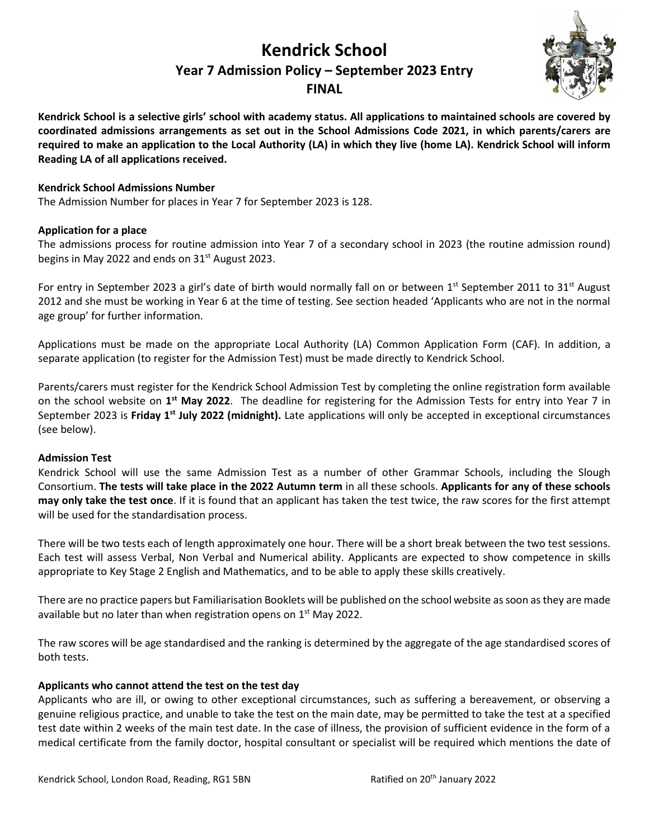# **Kendrick School Year 7 Admission Policy – September 2023 Entry FINAL**



**Kendrick School is a selective girls' school with academy status. All applications to maintained schools are covered by coordinated admissions arrangements as set out in the School Admissions Code 2021, in which parents/carers are required to make an application to the Local Authority (LA) in which they live (home LA). Kendrick School will inform Reading LA of all applications received.**

## **Kendrick School Admissions Number**

The Admission Number for places in Year 7 for September 2023 is 128.

#### **Application for a place**

The admissions process for routine admission into Year 7 of a secondary school in 2023 (the routine admission round) begins in May 2022 and ends on  $31<sup>st</sup>$  August 2023.

For entry in September 2023 a girl's date of birth would normally fall on or between 1<sup>st</sup> September 2011 to 31<sup>st</sup> August 2012 and she must be working in Year 6 at the time of testing. See section headed 'Applicants who are not in the normal age group' for further information.

Applications must be made on the appropriate Local Authority (LA) Common Application Form (CAF). In addition, a separate application (to register for the Admission Test) must be made directly to Kendrick School.

Parents/carers must register for the Kendrick School Admission Test by completing the online registration form available on the school website on **1 st May 2022**. The deadline for registering for the Admission Tests for entry into Year 7 in September 2023 is **Friday 1st July 2022 (midnight).** Late applications will only be accepted in exceptional circumstances (see below).

#### **Admission Test**

Kendrick School will use the same Admission Test as a number of other Grammar Schools, including the Slough Consortium. **The tests will take place in the 2022 Autumn term** in all these schools. **Applicants for any of these schools may only take the test once**. If it is found that an applicant has taken the test twice, the raw scores for the first attempt will be used for the standardisation process.

There will be two tests each of length approximately one hour. There will be a short break between the two test sessions. Each test will assess Verbal, Non Verbal and Numerical ability. Applicants are expected to show competence in skills appropriate to Key Stage 2 English and Mathematics, and to be able to apply these skills creatively.

There are no practice papers but Familiarisation Booklets will be published on the school website as soon as they are made available but no later than when registration opens on 1<sup>st</sup> May 2022.

The raw scores will be age standardised and the ranking is determined by the aggregate of the age standardised scores of both tests.

#### **Applicants who cannot attend the test on the test day**

Applicants who are ill, or owing to other exceptional circumstances, such as suffering a bereavement, or observing a genuine religious practice, and unable to take the test on the main date, may be permitted to take the test at a specified test date within 2 weeks of the main test date. In the case of illness, the provision of sufficient evidence in the form of a medical certificate from the family doctor, hospital consultant or specialist will be required which mentions the date of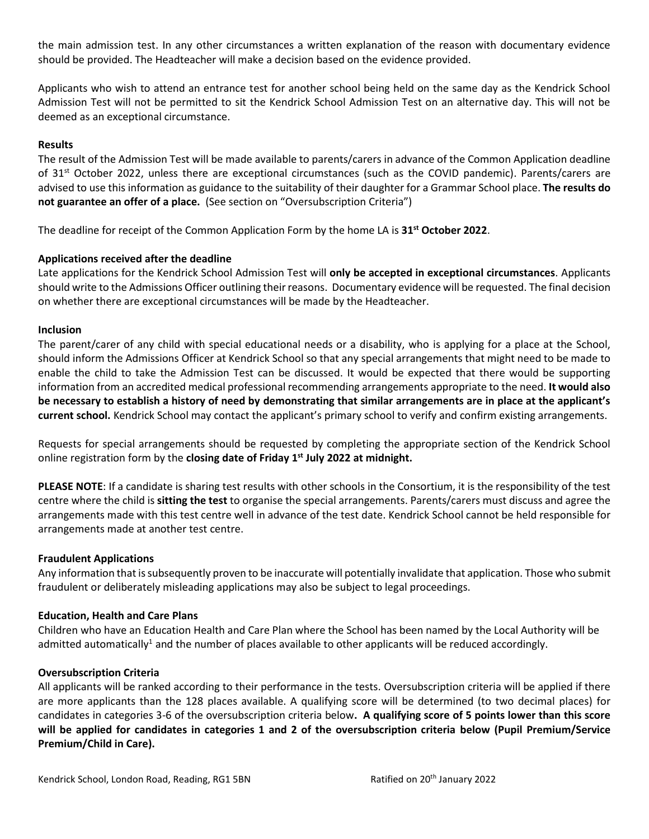the main admission test. In any other circumstances a written explanation of the reason with documentary evidence should be provided. The Headteacher will make a decision based on the evidence provided.

Applicants who wish to attend an entrance test for another school being held on the same day as the Kendrick School Admission Test will not be permitted to sit the Kendrick School Admission Test on an alternative day. This will not be deemed as an exceptional circumstance.

#### **Results**

The result of the Admission Test will be made available to parents/carers in advance of the Common Application deadline of 31<sup>st</sup> October 2022, unless there are exceptional circumstances (such as the COVID pandemic). Parents/carers are advised to use this information as guidance to the suitability of their daughter for a Grammar School place. **The results do not guarantee an offer of a place.** (See section on "Oversubscription Criteria")

The deadline for receipt of the Common Application Form by the home LA is **31st October 2022**.

#### **Applications received after the deadline**

Late applications for the Kendrick School Admission Test will **only be accepted in exceptional circumstances**. Applicants should write to the Admissions Officer outlining their reasons. Documentary evidence will be requested. The final decision on whether there are exceptional circumstances will be made by the Headteacher.

#### **Inclusion**

The parent/carer of any child with special educational needs or a disability, who is applying for a place at the School, should inform the Admissions Officer at Kendrick School so that any special arrangements that might need to be made to enable the child to take the Admission Test can be discussed. It would be expected that there would be supporting information from an accredited medical professional recommending arrangements appropriate to the need. **It would also be necessary to establish a history of need by demonstrating that similar arrangements are in place at the applicant's current school.** Kendrick School may contact the applicant's primary school to verify and confirm existing arrangements.

Requests for special arrangements should be requested by completing the appropriate section of the Kendrick School online registration form by the **closing date of Friday 1st July 2022 at midnight.**

**PLEASE NOTE**: If a candidate is sharing test results with other schools in the Consortium, it is the responsibility of the test centre where the child is **sitting the test** to organise the special arrangements. Parents/carers must discuss and agree the arrangements made with this test centre well in advance of the test date. Kendrick School cannot be held responsible for arrangements made at another test centre.

#### **Fraudulent Applications**

Any information that is subsequently proven to be inaccurate will potentially invalidate that application. Those who submit fraudulent or deliberately misleading applications may also be subject to legal proceedings.

#### **Education, Health and Care Plans**

Children who have an Education Health and Care Plan where the School has been named by the Local Authority will be admitted automatically<sup>1</sup> and the number of places available to other applicants will be reduced accordingly.

#### **Oversubscription Criteria**

All applicants will be ranked according to their performance in the tests. Oversubscription criteria will be applied if there are more applicants than the 128 places available. A qualifying score will be determined (to two decimal places) for candidates in categories 3-6 of the oversubscription criteria below**. A qualifying score of 5 points lower than this score will be applied for candidates in categories 1 and 2 of the oversubscription criteria below (Pupil Premium/Service Premium/Child in Care).**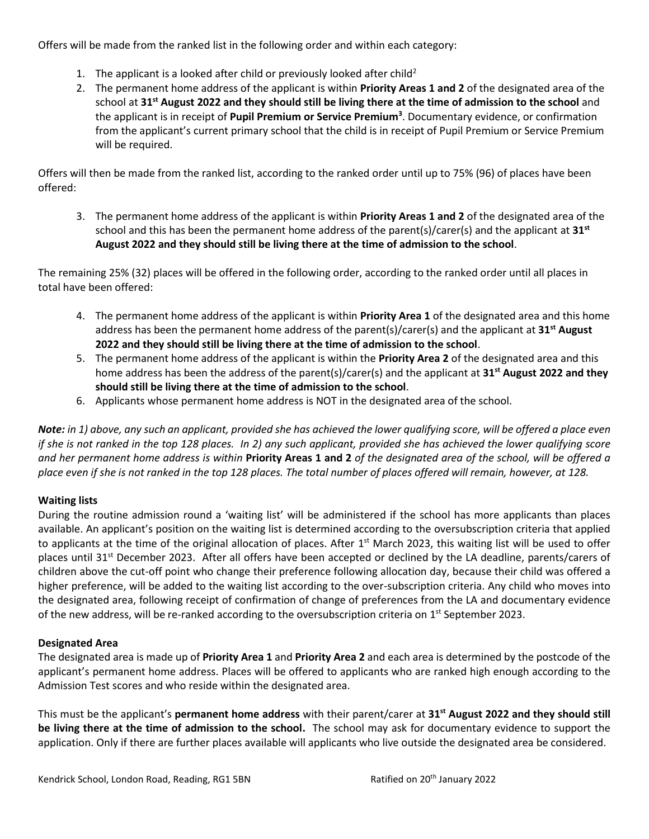Offers will be made from the ranked list in the following order and within each category:

- 1. The applicant is a looked after child or previously looked after child<sup>2</sup>
- 2. The permanent home address of the applicant is within **Priority Areas 1 and 2** of the designated area of the school at **31st August 2022 and they should still be living there at the time of admission to the school** and the applicant is in receipt of **Pupil Premium or Service Premium<sup>3</sup>** . Documentary evidence, or confirmation from the applicant's current primary school that the child is in receipt of Pupil Premium or Service Premium will be required.

Offers will then be made from the ranked list, according to the ranked order until up to 75% (96) of places have been offered:

3. The permanent home address of the applicant is within **Priority Areas 1 and 2** of the designated area of the school and this has been the permanent home address of the parent(s)/carer(s) and the applicant at **31st August 2022 and they should still be living there at the time of admission to the school**.

The remaining 25% (32) places will be offered in the following order, according to the ranked order until all places in total have been offered:

- 4. The permanent home address of the applicant is within **Priority Area 1** of the designated area and this home address has been the permanent home address of the parent(s)/carer(s) and the applicant at **31st August 2022 and they should still be living there at the time of admission to the school**.
- 5. The permanent home address of the applicant is within the **Priority Area 2** of the designated area and this home address has been the address of the parent(s)/carer(s) and the applicant at **31st August 2022 and they should still be living there at the time of admission to the school**.
- 6. Applicants whose permanent home address is NOT in the designated area of the school.

*Note: in 1) above, any such an applicant, provided she has achieved the lower qualifying score, will be offered a place even if she is not ranked in the top 128 places. In 2) any such applicant, provided she has achieved the lower qualifying score and her permanent home address is within* **Priority Areas 1 and 2** *of the designated area of the school, will be offered a place even if she is not ranked in the top 128 places. The total number of places offered will remain, however, at 128.* 

# **Waiting lists**

During the routine admission round a 'waiting list' will be administered if the school has more applicants than places available. An applicant's position on the waiting list is determined according to the oversubscription criteria that applied to applicants at the time of the original allocation of places. After 1<sup>st</sup> March 2023, this waiting list will be used to offer places until 31<sup>st</sup> December 2023. After all offers have been accepted or declined by the LA deadline, parents/carers of children above the cut-off point who change their preference following allocation day, because their child was offered a higher preference, will be added to the waiting list according to the over-subscription criteria. Any child who moves into the designated area, following receipt of confirmation of change of preferences from the LA and documentary evidence of the new address, will be re-ranked according to the oversubscription criteria on  $1<sup>st</sup>$  September 2023.

#### **Designated Area**

The designated area is made up of **Priority Area 1** and **Priority Area 2** and each area is determined by the postcode of the applicant's permanent home address. Places will be offered to applicants who are ranked high enough according to the Admission Test scores and who reside within the designated area.

This must be the applicant's **permanent home address** with their parent/carer at **31st August 2022 and they should still be living there at the time of admission to the school.** The school may ask for documentary evidence to support the application. Only if there are further places available will applicants who live outside the designated area be considered.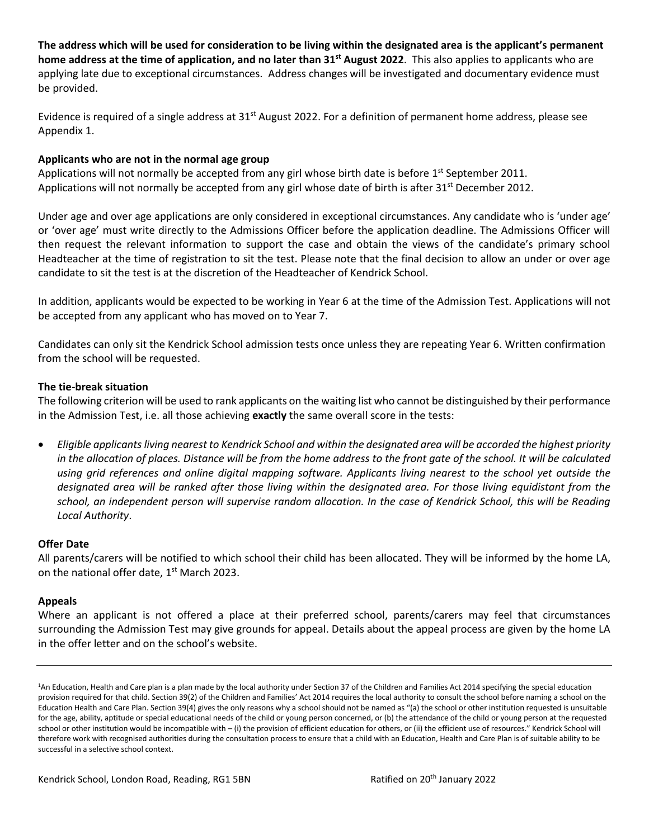**The address which will be used for consideration to be living within the designated area is the applicant's permanent home address at the time of application, and no later than 31st August 2022**. This also applies to applicants who are applying late due to exceptional circumstances. Address changes will be investigated and documentary evidence must be provided.

Evidence is required of a single address at 31<sup>st</sup> August 2022. For a definition of permanent home address, please see Appendix 1.

#### **Applicants who are not in the normal age group**

Applications will not normally be accepted from any girl whose birth date is before  $1^{st}$  September 2011. Applications will not normally be accepted from any girl whose date of birth is after 31<sup>st</sup> December 2012.

Under age and over age applications are only considered in exceptional circumstances. Any candidate who is 'under age' or 'over age' must write directly to the Admissions Officer before the application deadline. The Admissions Officer will then request the relevant information to support the case and obtain the views of the candidate's primary school Headteacher at the time of registration to sit the test. Please note that the final decision to allow an under or over age candidate to sit the test is at the discretion of the Headteacher of Kendrick School.

In addition, applicants would be expected to be working in Year 6 at the time of the Admission Test. Applications will not be accepted from any applicant who has moved on to Year 7.

Candidates can only sit the Kendrick School admission tests once unless they are repeating Year 6. Written confirmation from the school will be requested.

## **The tie-break situation**

The following criterion will be used to rank applicants on the waiting list who cannot be distinguished by their performance in the Admission Test, i.e. all those achieving **exactly** the same overall score in the tests:

• *Eligible applicants living nearest to Kendrick School and within the designated area will be accorded the highest priority in the allocation of places. Distance will be from the home address to the front gate of the school. It will be calculated using grid references and online digital mapping software. Applicants living nearest to the school yet outside the designated area will be ranked after those living within the designated area. For those living equidistant from the school, an independent person will supervise random allocation. In the case of Kendrick School, this will be Reading Local Authority*.

#### **Offer Date**

All parents/carers will be notified to which school their child has been allocated. They will be informed by the home LA, on the national offer date, 1<sup>st</sup> March 2023.

#### **Appeals**

Where an applicant is not offered a place at their preferred school, parents/carers may feel that circumstances surrounding the Admission Test may give grounds for appeal. Details about the appeal process are given by the home LA in the offer letter and on the school's website.

<sup>&</sup>lt;sup>1</sup>An Education, Health and Care plan is a plan made by the local authority under Section 37 of the Children and Families Act 2014 specifying the special education provision required for that child. Section 39(2) of the Children and Families' Act 2014 requires the local authority to consult the school before naming a school on the Education Health and Care Plan. Section 39(4) gives the only reasons why a school should not be named as "(a) the school or other institution requested is unsuitable for the age, ability, aptitude or special educational needs of the child or young person concerned, or (b) the attendance of the child or young person at the requested school or other institution would be incompatible with – (i) the provision of efficient education for others, or (ii) the efficient use of resources." Kendrick School will therefore work with recognised authorities during the consultation process to ensure that a child with an Education, Health and Care Plan is of suitable ability to be successful in a selective school context.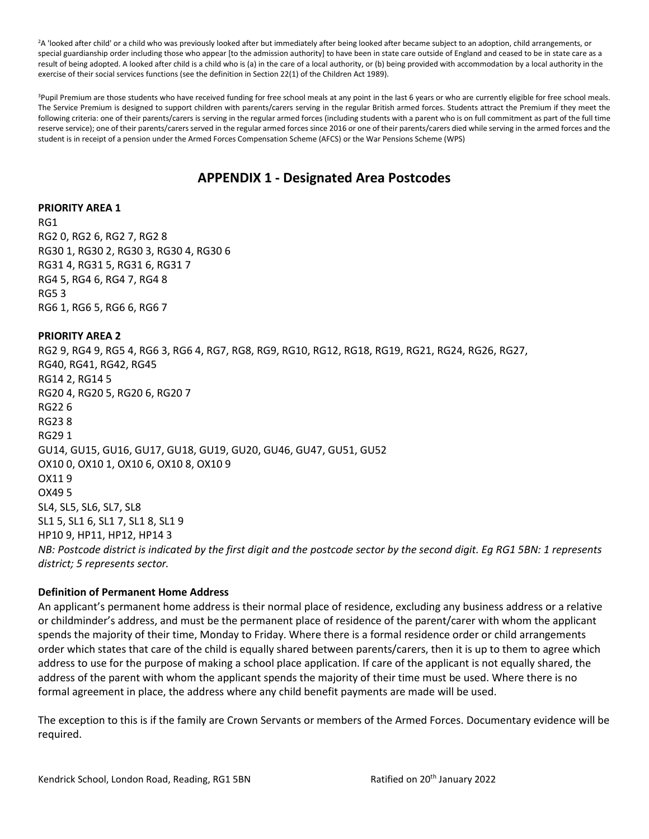<sup>2</sup>A 'looked after child' or a child who was previously looked after but immediately after being looked after became subject to an adoption, child arrangements, or special guardianship order including those who appear [to the admission authority] to have been in state care outside of England and ceased to be in state care as a result of being adopted. A looked after child is a child who is (a) in the care of a local authority, or (b) being provided with accommodation by a local authority in the exercise of their social services functions (see the definition in Section 22(1) of the Children Act 1989).

<sup>3</sup>Pupil Premium are those students who have received funding for free school meals at any point in the last 6 years or who are currently eligible for free school meals. The Service Premium is designed to support children with parents/carers serving in the regular British armed forces. Students attract the Premium if they meet the following criteria: one of their parents/carers is serving in the regular armed forces (including students with a parent who is on full commitment as part of the full time reserve service); one of their parents/carers served in the regular armed forces since 2016 or one of their parents/carers died while serving in the armed forces and the student is in receipt of a pension under the Armed Forces Compensation Scheme (AFCS) or the War Pensions Scheme (WPS)

# **APPENDIX 1 - Designated Area Postcodes**

#### **PRIORITY AREA 1**

RG1 RG2 0, RG2 6, RG2 7, RG2 8 RG30 1, RG30 2, RG30 3, RG30 4, RG30 6 RG31 4, RG31 5, RG31 6, RG31 7 RG4 5, RG4 6, RG4 7, RG4 8 RG5 3 RG6 1, RG6 5, RG6 6, RG6 7

#### **PRIORITY AREA 2**

RG2 9, RG4 9, RG5 4, RG6 3, RG6 4, RG7, RG8, RG9, RG10, RG12, RG18, RG19, RG21, RG24, RG26, RG27, RG40, RG41, RG42, RG45 RG14 2, RG14 5 RG20 4, RG20 5, RG20 6, RG20 7 RG22 6 RG23 8 RG29 1 GU14, GU15, GU16, GU17, GU18, GU19, GU20, GU46, GU47, GU51, GU52 OX10 0, OX10 1, OX10 6, OX10 8, OX10 9 OX11 9 OX49 5 SL4, SL5, SL6, SL7, SL8 SL1 5, SL1 6, SL1 7, SL1 8, SL1 9 HP10 9, HP11, HP12, HP14 3 *NB: Postcode district is indicated by the first digit and the postcode sector by the second digit. Eg RG1 5BN: 1 represents district; 5 represents sector.*

#### **Definition of Permanent Home Address**

An applicant's permanent home address is their normal place of residence, excluding any business address or a relative or childminder's address, and must be the permanent place of residence of the parent/carer with whom the applicant spends the majority of their time, Monday to Friday. Where there is a formal residence order or child arrangements order which states that care of the child is equally shared between parents/carers, then it is up to them to agree which address to use for the purpose of making a school place application. If care of the applicant is not equally shared, the address of the parent with whom the applicant spends the majority of their time must be used. Where there is no formal agreement in place, the address where any child benefit payments are made will be used.

The exception to this is if the family are Crown Servants or members of the Armed Forces. Documentary evidence will be required.